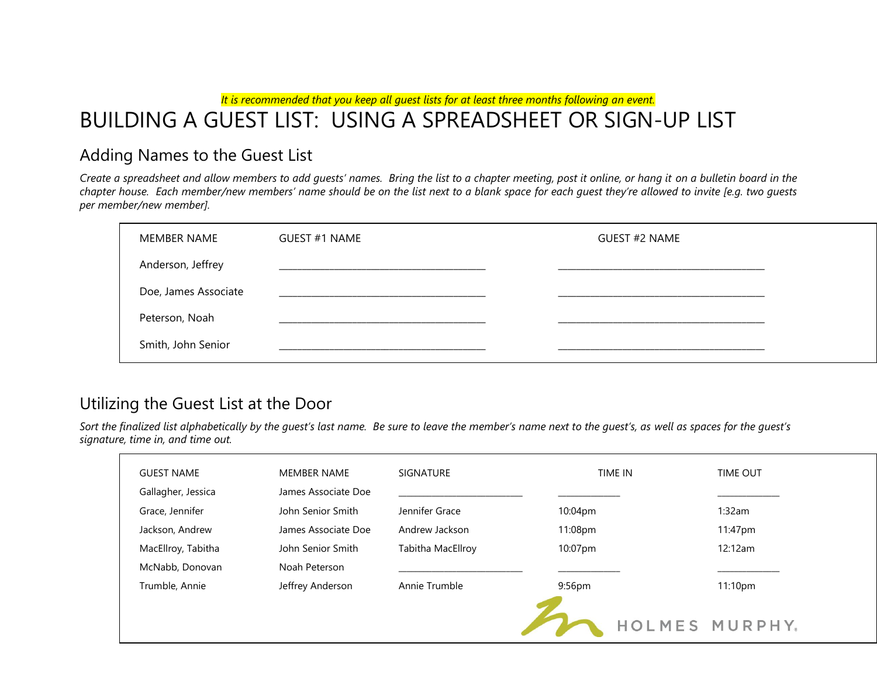*It is recommended that you keep all guest lists for at least three months following an event.*

# BUILDING A GUEST LIST: USING A SPREADSHEET OR SIGN-UP LIST

### Adding Names to the Guest List

*Create a spreadsheet and allow members to add guests' names. Bring the list to a chapter meeting, post it online, or hang it on a bulletin board in the chapter house. Each member/new members' name should be on the list next to a blank space for each guest they're allowed to invite [e.g. two guests per member/new member].* 

| MEMBER NAME          | GUEST #1 NAME | <b>GUEST #2 NAME</b> |
|----------------------|---------------|----------------------|
| Anderson, Jeffrey    |               |                      |
| Doe, James Associate |               |                      |
| Peterson, Noah       |               |                      |
| Smith, John Senior   |               |                      |

### Utilizing the Guest List at the Door

Sort the finalized list alphabetically by the quest's last name. Be sure to leave the member's name next to the quest's, as well as spaces for the quest's *signature, time in, and time out.*

| <b>GUEST NAME</b>  | <b>MEMBER NAME</b>  | <b>SIGNATURE</b>  | TIME IN            | <b>TIME OUT</b>     |  |
|--------------------|---------------------|-------------------|--------------------|---------------------|--|
| Gallagher, Jessica | James Associate Doe |                   |                    |                     |  |
| Grace, Jennifer    | John Senior Smith   | Jennifer Grace    | 10:04pm            | 1:32am              |  |
| Jackson, Andrew    | James Associate Doe | Andrew Jackson    | 11:08pm            | 11:47pm             |  |
| MacEllroy, Tabitha | John Senior Smith   | Tabitha MacEllroy | 10:07pm            | 12:12am             |  |
| McNabb, Donovan    | Noah Peterson       |                   |                    |                     |  |
| Trumble, Annie     | Jeffrey Anderson    | Annie Trumble     | 9:56 <sub>pm</sub> | 11:10 <sub>pm</sub> |  |
|                    |                     |                   |                    |                     |  |
|                    |                     |                   |                    | HOLMES MURPHY.      |  |